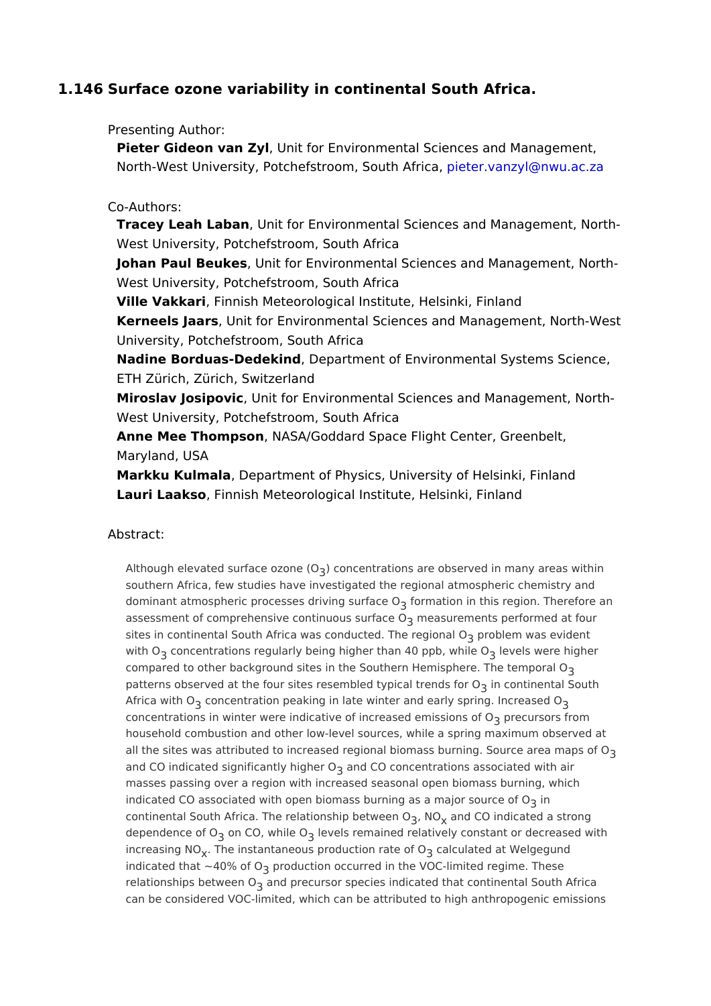## 1.146Surface ozone variability in continental South Africa.

Presenting Author:

Pieter Gideon van Øyllt for Environmental Sciences and Management, North-West University, Potchefstroompi Scoturk a Antary c@nwu.ac.za

## Co-Authors:

Tracey Leah Labbmit for Environmen[tal Sciences and M](mailto:pieter.vanzyl@nwu.ac.za)anagement, No West University, Potchefstroom, South Africa Johan Paul Beyklebit for Environmental Sciences and Management, N West University, Potchefstroom, South Africa Ville Vakkaffinnish Meteorological Institute, Helsinki, Finland Kerneels Ja,atsnit for Environmental Sciences and Management, North University, Potchefstroom, South Africa Nadine Borduas-DedekDnechartment of Environmental Systems Science ETH Zürich, Zürich, Switzerland Miroslav Josipo Unit for Environmental Sciences and Management, No West University, Potchefstroom, South Africa Anne Mee Thomps own ASA/Goddard Space Flight Center, Greenbelt, Maryland, USA Markku KulmalDepartment of Physics, University of Helsinki, Finland Lauri Laaks  $\delta$ innish Meteorological Institute, Helsinki, Finland

## Abstract:

Although elevated surfac $e_0$ ) ozone en Orations are observed in many areas within southern Africa, few studies have investigated the regional atmospheric chemi dominant atmospheric processes driving reatione in this region. Therefore an assessment of comprehensive continuom sassuur fame not performed at four sites in continental South Africa was conductered roothneem angains near in the regional of with Oconcentrations regularly being higher than 14e0 eplssbw ewn heilheig Oher compared to other background sites in the Southern Hemisphere. The temporal patterns observed at the four sites resembled tyipniccalntiend bafo 3 o Quth Africa with concentration peaking in late winter and early spring. Increased O concentrations in winter were indicative of increaped cumsions iof mont O household combustion and other low-level sources, while a spring maximum ob all the sites was attributed to increased regional biomass burning. Source area and CO indicated significantly and gCh@rc@ncentrations associated with air masses passing over a region with increased seasonal open biomass burning, w indicated CO associated with open biomass burning asia major source of O continental South Africa. The relationshing between indicated a strong dependence  $\phi$  for OCO, while e Oels remained relatively constant or decreased with increasing .NDhe instantaneous production rate the off of Welgegund indicated that  $\sim$  40 $\frac{2}{9}$ pobd $\Omega$  ction occurred in the VOC-limited regime. These relationships between od Oprecursor species indicated that continental South Afric can be considered VOC-limited, which can be attributed to high anthropogenic